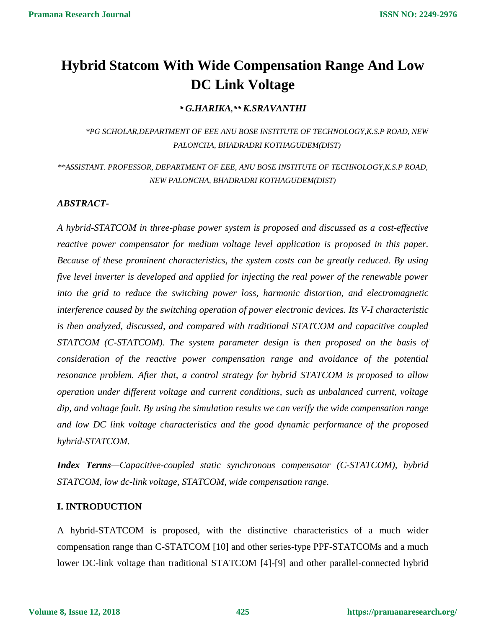# **Hybrid Statcom With Wide Compensation Range And Low DC Link Voltage**

*\* G.HARIKA,\*\* K.SRAVANTHI*

*\*PG SCHOLAR,DEPARTMENT OF EEE ANU BOSE INSTITUTE OF TECHNOLOGY,K.S.P ROAD, NEW PALONCHA, BHADRADRI KOTHAGUDEM(DIST)*

*\*\*ASSISTANT. PROFESSOR, DEPARTMENT OF EEE, ANU BOSE INSTITUTE OF TECHNOLOGY,K.S.P ROAD, NEW PALONCHA, BHADRADRI KOTHAGUDEM(DIST)*

### *ABSTRACT-*

*A hybrid-STATCOM in three-phase power system is proposed and discussed as a cost-effective reactive power compensator for medium voltage level application is proposed in this paper. Because of these prominent characteristics, the system costs can be greatly reduced. By using five level inverter is developed and applied for injecting the real power of the renewable power into the grid to reduce the switching power loss, harmonic distortion, and electromagnetic interference caused by the switching operation of power electronic devices. Its V-I characteristic is then analyzed, discussed, and compared with traditional STATCOM and capacitive coupled STATCOM (C-STATCOM). The system parameter design is then proposed on the basis of consideration of the reactive power compensation range and avoidance of the potential resonance problem. After that, a control strategy for hybrid STATCOM is proposed to allow operation under different voltage and current conditions, such as unbalanced current, voltage dip, and voltage fault. By using the simulation results we can verify the wide compensation range and low DC link voltage characteristics and the good dynamic performance of the proposed hybrid-STATCOM.* 

*Index Terms—Capacitive-coupled static synchronous compensator (C-STATCOM), hybrid STATCOM, low dc-link voltage, STATCOM, wide compensation range.* 

### **I. INTRODUCTION**

A hybrid-STATCOM is proposed, with the distinctive characteristics of a much wider compensation range than C-STATCOM [10] and other series-type PPF-STATCOMs and a much lower DC-link voltage than traditional STATCOM [4]-[9] and other parallel-connected hybrid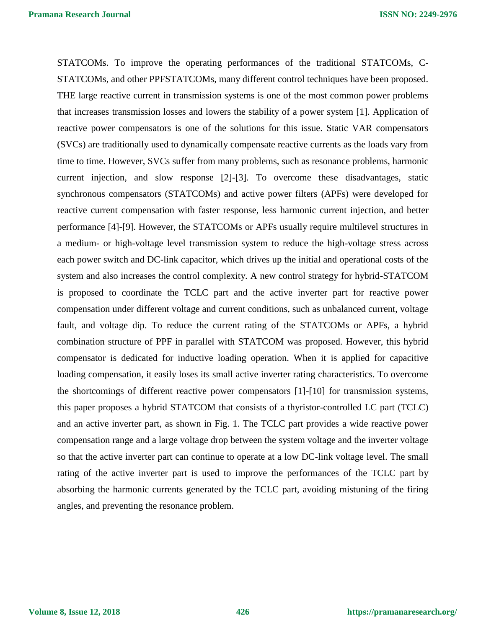STATCOMs. To improve the operating performances of the traditional STATCOMs, C-STATCOMs, and other PPFSTATCOMs, many different control techniques have been proposed. THE large reactive current in transmission systems is one of the most common power problems that increases transmission losses and lowers the stability of a power system [1]. Application of reactive power compensators is one of the solutions for this issue. Static VAR compensators (SVCs) are traditionally used to dynamically compensate reactive currents as the loads vary from time to time. However, SVCs suffer from many problems, such as resonance problems, harmonic current injection, and slow response [2]-[3]. To overcome these disadvantages, static synchronous compensators (STATCOMs) and active power filters (APFs) were developed for reactive current compensation with faster response, less harmonic current injection, and better performance [4]-[9]. However, the STATCOMs or APFs usually require multilevel structures in a medium- or high-voltage level transmission system to reduce the high-voltage stress across each power switch and DC-link capacitor, which drives up the initial and operational costs of the system and also increases the control complexity. A new control strategy for hybrid-STATCOM is proposed to coordinate the TCLC part and the active inverter part for reactive power compensation under different voltage and current conditions, such as unbalanced current, voltage fault, and voltage dip. To reduce the current rating of the STATCOMs or APFs, a hybrid combination structure of PPF in parallel with STATCOM was proposed. However, this hybrid compensator is dedicated for inductive loading operation. When it is applied for capacitive loading compensation, it easily loses its small active inverter rating characteristics. To overcome the shortcomings of different reactive power compensators [1]-[10] for transmission systems, this paper proposes a hybrid STATCOM that consists of a thyristor-controlled LC part (TCLC) and an active inverter part, as shown in Fig. 1. The TCLC part provides a wide reactive power compensation range and a large voltage drop between the system voltage and the inverter voltage so that the active inverter part can continue to operate at a low DC-link voltage level. The small rating of the active inverter part is used to improve the performances of the TCLC part by absorbing the harmonic currents generated by the TCLC part, avoiding mistuning of the firing angles, and preventing the resonance problem.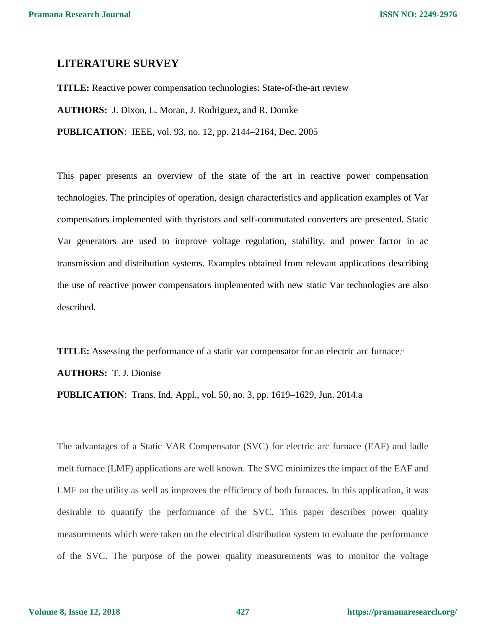### **LITERATURE SURVEY**

**TITLE:** Reactive power compensation technologies: State-of-the-art review **AUTHORS:** J. Dixon, L. Moran, J. Rodriguez, and R. Domke **PUBLICATION**: IEEE, vol. 93, no. 12, pp. 2144–2164, Dec. 2005

This paper presents an overview of the state of the art in reactive power compensation technologies. The principles of operation, design characteristics and application examples of Var compensators implemented with thyristors and self-commutated converters are presented. Static Var generators are used to improve voltage regulation, stability, and power factor in ac transmission and distribution systems. Examples obtained from relevant applications describing the use of reactive power compensators implemented with new static Var technologies are also described.

**TITLE:** Assessing the performance of a static var compensator for an electric arc furnace,"

**AUTHORS:** T. J. Dionise

**PUBLICATION**: Trans. Ind. Appl., vol. 50, no. 3, pp. 1619–1629, Jun. 2014.a

The advantages of a Static VAR Compensator (SVC) for electric arc furnace (EAF) and ladle melt furnace (LMF) applications are well known. The SVC minimizes the impact of the EAF and LMF on the utility as well as improves the efficiency of both furnaces. In this application, it was desirable to quantify the performance of the SVC. This paper describes power quality measurements which were taken on the electrical distribution system to evaluate the performance of the SVC. The purpose of the power quality measurements was to monitor the voltage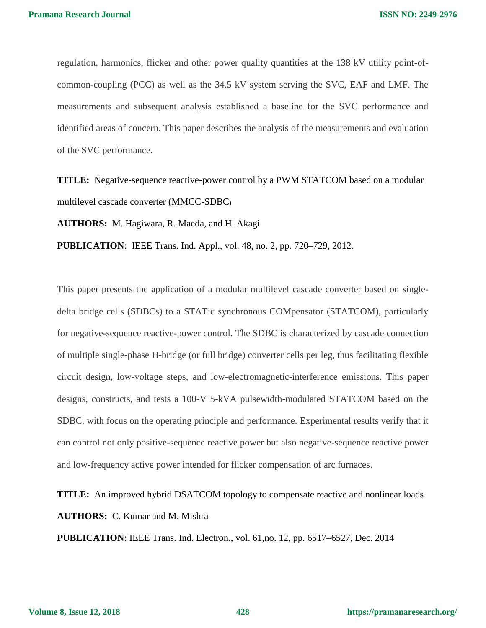regulation, harmonics, flicker and other power quality quantities at the 138 kV utility point-ofcommon-coupling (PCC) as well as the 34.5 kV system serving the SVC, EAF and LMF. The measurements and subsequent analysis established a baseline for the SVC performance and identified areas of concern. This paper describes the analysis of the measurements and evaluation of the SVC performance.

**TITLE:** Negative-sequence reactive-power control by a PWM STATCOM based on a modular multilevel cascade converter (MMCC-SDBC)

**AUTHORS:** M. Hagiwara, R. Maeda, and H. Akagi

**PUBLICATION**: IEEE Trans. Ind. Appl., vol. 48, no. 2, pp. 720–729, 2012.

This paper presents the application of a modular multilevel cascade converter based on singledelta bridge cells (SDBCs) to a STATic synchronous COMpensator (STATCOM), particularly for negative-sequence reactive-power control. The SDBC is characterized by cascade connection of multiple single-phase H-bridge (or full bridge) converter cells per leg, thus facilitating flexible circuit design, low-voltage steps, and low-electromagnetic-interference emissions. This paper designs, constructs, and tests a 100-V 5-kVA pulsewidth-modulated STATCOM based on the SDBC, with focus on the operating principle and performance. Experimental results verify that it can control not only positive-sequence reactive power but also negative-sequence reactive power and low-frequency active power intended for flicker compensation of arc furnaces.

## **TITLE:** An improved hybrid DSATCOM topology to compensate reactive and nonlinear loads **AUTHORS:** C. Kumar and M. Mishra

**PUBLICATION**: IEEE Trans. Ind. Electron., vol. 61,no. 12, pp. 6517–6527, Dec. 2014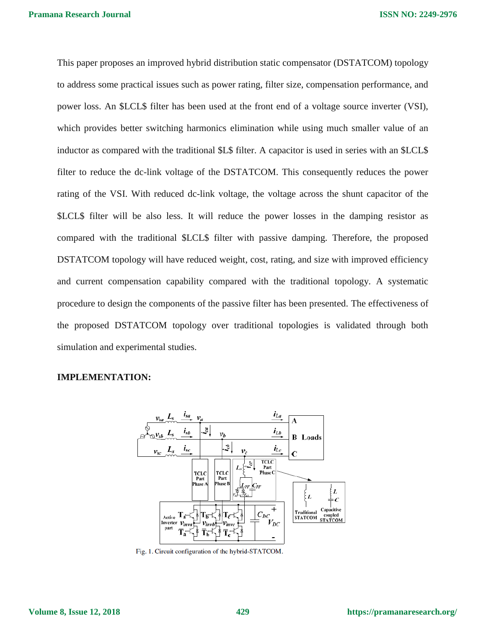This paper proposes an improved hybrid distribution static compensator (DSTATCOM) topology to address some practical issues such as power rating, filter size, compensation performance, and power loss. An \$LCL\$ filter has been used at the front end of a voltage source inverter (VSI), which provides better switching harmonics elimination while using much smaller value of an inductor as compared with the traditional \$L\$ filter. A capacitor is used in series with an \$LCL\$ filter to reduce the dc-link voltage of the DSTATCOM. This consequently reduces the power rating of the VSI. With reduced dc-link voltage, the voltage across the shunt capacitor of the \$LCL\$ filter will be also less. It will reduce the power losses in the damping resistor as compared with the traditional \$LCL\$ filter with passive damping. Therefore, the proposed DSTATCOM topology will have reduced weight, cost, rating, and size with improved efficiency and current compensation capability compared with the traditional topology. A systematic procedure to design the components of the passive filter has been presented. The effectiveness of the proposed DSTATCOM topology over traditional topologies is validated through both simulation and experimental studies.

### **IMPLEMENTATION:**



Fig. 1. Circuit configuration of the hybrid-STATCOM.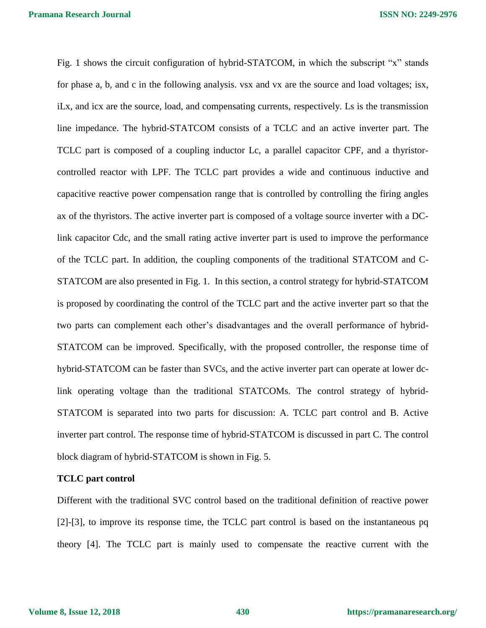**ISSN NO: 2249-2976**

Fig. 1 shows the circuit configuration of hybrid-STATCOM, in which the subscript "x" stands for phase a, b, and c in the following analysis. vsx and vx are the source and load voltages; isx, iLx, and icx are the source, load, and compensating currents, respectively. Ls is the transmission line impedance. The hybrid-STATCOM consists of a TCLC and an active inverter part. The TCLC part is composed of a coupling inductor Lc, a parallel capacitor CPF, and a thyristorcontrolled reactor with LPF. The TCLC part provides a wide and continuous inductive and capacitive reactive power compensation range that is controlled by controlling the firing angles ax of the thyristors. The active inverter part is composed of a voltage source inverter with a DClink capacitor Cdc, and the small rating active inverter part is used to improve the performance of the TCLC part. In addition, the coupling components of the traditional STATCOM and C-STATCOM are also presented in Fig. 1. In this section, a control strategy for hybrid-STATCOM is proposed by coordinating the control of the TCLC part and the active inverter part so that the two parts can complement each other's disadvantages and the overall performance of hybrid-STATCOM can be improved. Specifically, with the proposed controller, the response time of hybrid-STATCOM can be faster than SVCs, and the active inverter part can operate at lower dclink operating voltage than the traditional STATCOMs. The control strategy of hybrid-STATCOM is separated into two parts for discussion: A. TCLC part control and B. Active inverter part control. The response time of hybrid-STATCOM is discussed in part C. The control block diagram of hybrid-STATCOM is shown in Fig. 5.

#### **TCLC part control**

Different with the traditional SVC control based on the traditional definition of reactive power [2]-[3], to improve its response time, the TCLC part control is based on the instantaneous pq theory [4]. The TCLC part is mainly used to compensate the reactive current with the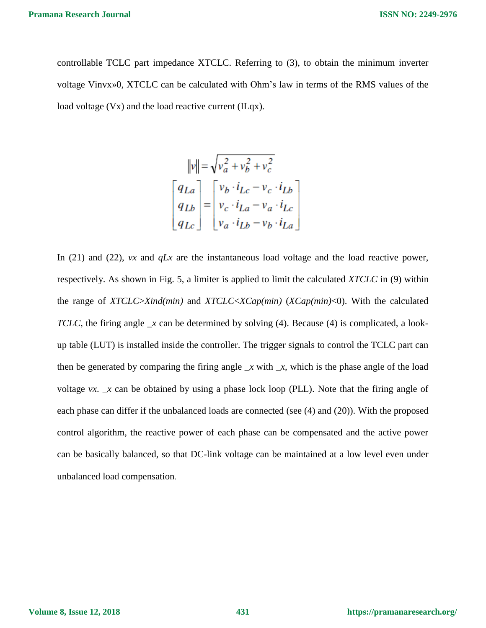controllable TCLC part impedance XTCLC. Referring to (3), to obtain the minimum inverter voltage Vinvx»0, XTCLC can be calculated with Ohm's law in terms of the RMS values of the load voltage (Vx) and the load reactive current (ILqx).

$$
||v|| = \sqrt{v_a^2 + v_b^2 + v_c^2}
$$
  
\n
$$
\begin{bmatrix} q_{La} \\ q_{Lb} \\ q_{Lc} \end{bmatrix} = \begin{bmatrix} v_b \cdot i_{Lc} - v_c \cdot i_{Lb} \\ v_c \cdot i_{La} - v_a \cdot i_{Lc} \\ v_a \cdot i_{Lb} - v_b \cdot i_{La} \end{bmatrix}
$$

In (21) and (22), *vx* and *qLx* are the instantaneous load voltage and the load reactive power, respectively. As shown in Fig. 5, a limiter is applied to limit the calculated *XTCLC* in (9) within the range of *XTCLC*>*Xind(min)* and *XTCLC*<*XCap(min)* (*XCap(min)*<0). With the calculated *TCLC*, the firing angle  $\chi$  can be determined by solving (4). Because (4) is complicated, a lookup table (LUT) is installed inside the controller. The trigger signals to control the TCLC part can then be generated by comparing the firing angle  $\chi$  with  $\chi$ , which is the phase angle of the load voltage *vx.*  $\bar{x}$  can be obtained by using a phase lock loop (PLL). Note that the firing angle of each phase can differ if the unbalanced loads are connected (see (4) and (20)). With the proposed control algorithm, the reactive power of each phase can be compensated and the active power can be basically balanced, so that DC-link voltage can be maintained at a low level even under unbalanced load compensation.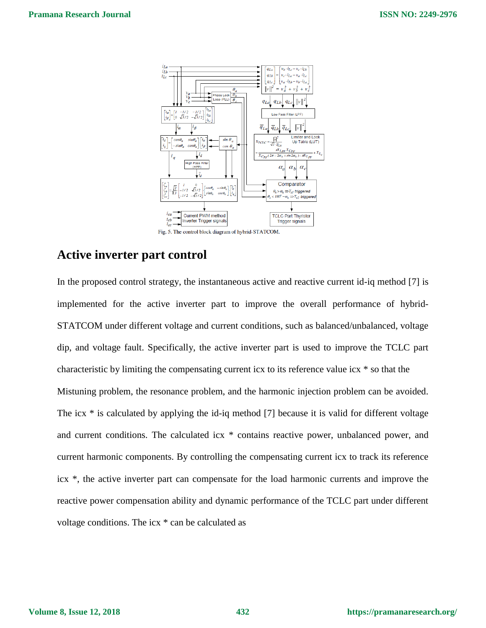

Fig. 5. The control block diagram of hybrid-STATCOM.

### **Active inverter part control**

In the proposed control strategy, the instantaneous active and reactive current id-iq method [7] is implemented for the active inverter part to improve the overall performance of hybrid-STATCOM under different voltage and current conditions, such as balanced/unbalanced, voltage dip, and voltage fault. Specifically, the active inverter part is used to improve the TCLC part characteristic by limiting the compensating current icx to its reference value icx \* so that the Mistuning problem, the resonance problem, and the harmonic injection problem can be avoided. The icx \* is calculated by applying the id-iq method [7] because it is valid for different voltage and current conditions. The calculated icx \* contains reactive power, unbalanced power, and current harmonic components. By controlling the compensating current icx to track its reference icx \*, the active inverter part can compensate for the load harmonic currents and improve the reactive power compensation ability and dynamic performance of the TCLC part under different voltage conditions. The icx \* can be calculated as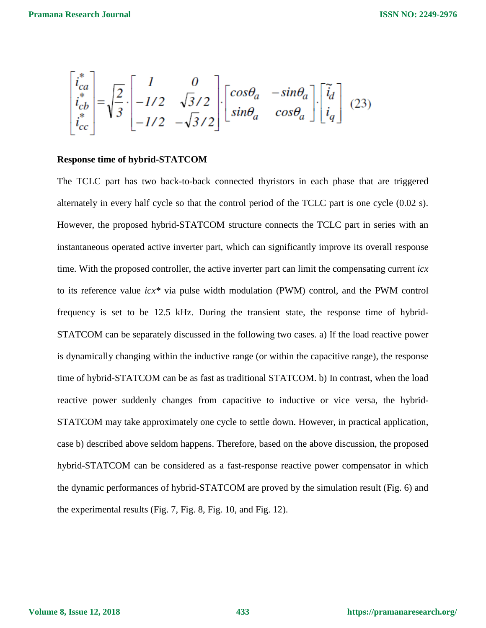$$
\begin{bmatrix} i_{ca}^* \\ i_{cb}^* \\ i_{cc}^* \end{bmatrix} = \sqrt{\frac{2}{3}} \cdot \begin{bmatrix} 1 & 0 \\ -1/2 & \sqrt{3}/2 \\ -1/2 & -\sqrt{3}/2 \end{bmatrix} \cdot \begin{bmatrix} cos\theta_a & -sin\theta_a \\ sin\theta_a & cos\theta_a \end{bmatrix} \cdot \begin{bmatrix} \tilde{i}_d \\ i_q \end{bmatrix}
$$
 (23)

### **Response time of hybrid-STATCOM**

The TCLC part has two back-to-back connected thyristors in each phase that are triggered alternately in every half cycle so that the control period of the TCLC part is one cycle (0.02 s). However, the proposed hybrid-STATCOM structure connects the TCLC part in series with an instantaneous operated active inverter part, which can significantly improve its overall response time. With the proposed controller, the active inverter part can limit the compensating current *icx*  to its reference value *icx\** via pulse width modulation (PWM) control, and the PWM control frequency is set to be 12.5 kHz. During the transient state, the response time of hybrid-STATCOM can be separately discussed in the following two cases. a) If the load reactive power is dynamically changing within the inductive range (or within the capacitive range), the response time of hybrid-STATCOM can be as fast as traditional STATCOM. b) In contrast, when the load reactive power suddenly changes from capacitive to inductive or vice versa, the hybrid-STATCOM may take approximately one cycle to settle down. However, in practical application, case b) described above seldom happens. Therefore, based on the above discussion, the proposed hybrid-STATCOM can be considered as a fast-response reactive power compensator in which the dynamic performances of hybrid-STATCOM are proved by the simulation result (Fig. 6) and the experimental results (Fig. 7, Fig. 8, Fig. 10, and Fig. 12).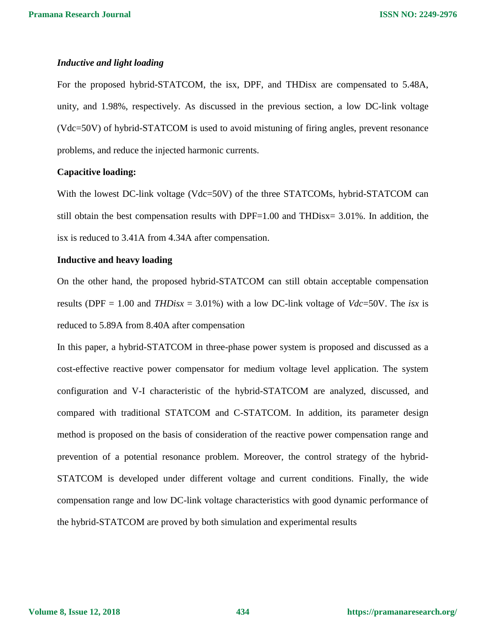### *Inductive and light loading*

For the proposed hybrid-STATCOM, the isx, DPF, and THDisx are compensated to 5.48A, unity, and 1.98%, respectively. As discussed in the previous section, a low DC-link voltage (Vdc=50V) of hybrid-STATCOM is used to avoid mistuning of firing angles, prevent resonance problems, and reduce the injected harmonic currents.

### **Capacitive loading:**

With the lowest DC-link voltage (Vdc=50V) of the three STATCOMs, hybrid-STATCOM can still obtain the best compensation results with DPF=1.00 and THDisx= 3.01%. In addition, the isx is reduced to 3.41A from 4.34A after compensation.

### **Inductive and heavy loading**

On the other hand, the proposed hybrid-STATCOM can still obtain acceptable compensation results (DPF = 1.00 and *THDisx* = 3.01%) with a low DC-link voltage of *Vdc*=50V. The *isx* is reduced to 5.89A from 8.40A after compensation

In this paper, a hybrid-STATCOM in three-phase power system is proposed and discussed as a cost-effective reactive power compensator for medium voltage level application. The system configuration and V-I characteristic of the hybrid-STATCOM are analyzed, discussed, and compared with traditional STATCOM and C-STATCOM. In addition, its parameter design method is proposed on the basis of consideration of the reactive power compensation range and prevention of a potential resonance problem. Moreover, the control strategy of the hybrid-STATCOM is developed under different voltage and current conditions. Finally, the wide compensation range and low DC-link voltage characteristics with good dynamic performance of the hybrid-STATCOM are proved by both simulation and experimental results